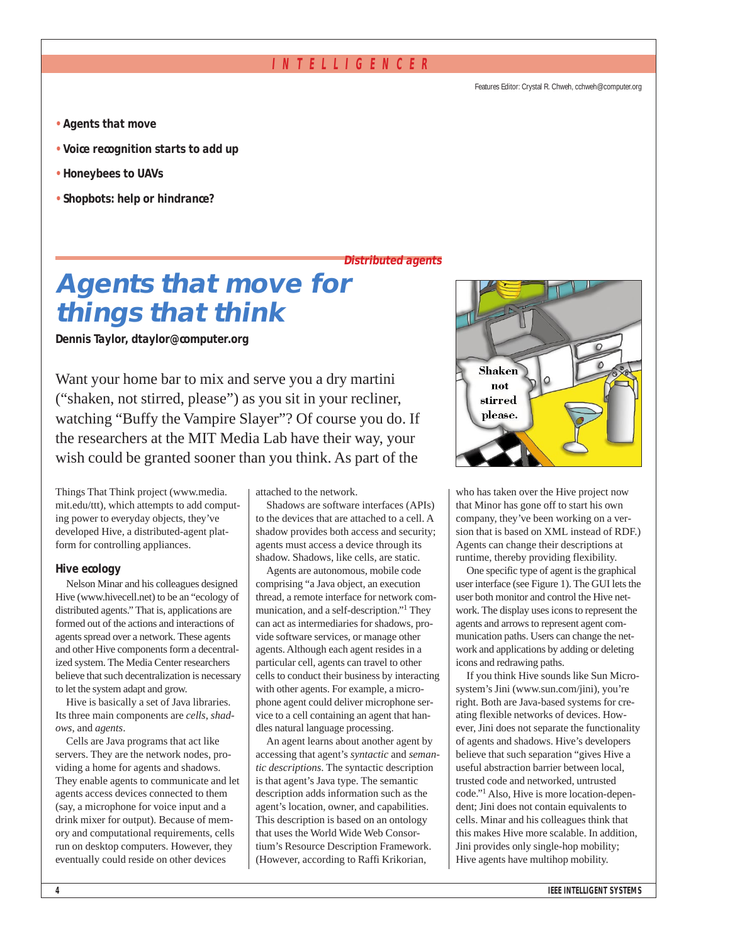# **INTELLIGENCER**

Features Editor: Crystal R. Chweh, cchweh@computer.org

- **• Agents that move**
- **• Voice recognition starts to add up**
- **• Honeybees to UAVs**
- **Shopbots: help or hindrance?**

**Distributed agents**

# **Agents that move for things that think**

**Dennis Taylor, dtaylor@computer.org**

Want your home bar to mix and serve you a dry martini ("shaken, not stirred, please") as you sit in your recliner, watching "Buffy the Vampire Slayer"? Of course you do. If the researchers at the MIT Media Lab have their way, your wish could be granted sooner than you think. As part of the

Things That Think project (www.media. mit.edu/ttt), which attempts to add computing power to everyday objects, they've developed Hive, a distributed-agent platform for controlling appliances.

### **Hive ecology**

Nelson Minar and his colleagues designed Hive (www.hivecell.net) to be an "ecology of distributed agents." That is, applications are formed out of the actions and interactions of agents spread over a network. These agents and other Hive components form a decentralized system. The Media Center researchers believe that such decentralization is necessary to let the system adapt and grow.

Hive is basically a set of Java libraries. Its three main components are *cells*, *shadows*, and *agents*.

Cells are Java programs that act like servers. They are the network nodes, providing a home for agents and shadows. They enable agents to communicate and let agents access devices connected to them (say, a microphone for voice input and a drink mixer for output). Because of memory and computational requirements, cells run on desktop computers. However, they eventually could reside on other devices

attached to the network.

Shadows are software interfaces (APIs) to the devices that are attached to a cell. A shadow provides both access and security; agents must access a device through its shadow. Shadows, like cells, are static.

Agents are autonomous, mobile code comprising "a Java object, an execution thread, a remote interface for network communication, and a self-description."1 They can act as intermediaries for shadows, provide software services, or manage other agents. Although each agent resides in a particular cell, agents can travel to other cells to conduct their business by interacting with other agents. For example, a microphone agent could deliver microphone service to a cell containing an agent that handles natural language processing.

An agent learns about another agent by accessing that agent's *syntactic* and *semantic descriptions*. The syntactic description is that agent's Java type. The semantic description adds information such as the agent's location, owner, and capabilities. This description is based on an ontology that uses the World Wide Web Consortium's Resource Description Framework. (However, according to Raffi Krikorian,



who has taken over the Hive project now that Minor has gone off to start his own company, they've been working on a version that is based on XML instead of RDF.) Agents can change their descriptions at runtime, thereby providing flexibility.

One specific type of agent is the graphical user interface (see Figure 1). The GUI lets the user both monitor and control the Hive network. The display uses icons to represent the agents and arrows to represent agent communication paths. Users can change the network and applications by adding or deleting icons and redrawing paths.

If you think Hive sounds like Sun Microsystem's Jini (www.sun.com/jini), you're right. Both are Java-based systems for creating flexible networks of devices. However, Jini does not separate the functionality of agents and shadows. Hive's developers believe that such separation "gives Hive a useful abstraction barrier between local, trusted code and networked, untrusted code."1 Also, Hive is more location-dependent; Jini does not contain equivalents to cells. Minar and his colleagues think that this makes Hive more scalable. In addition, Jini provides only single-hop mobility; Hive agents have multihop mobility.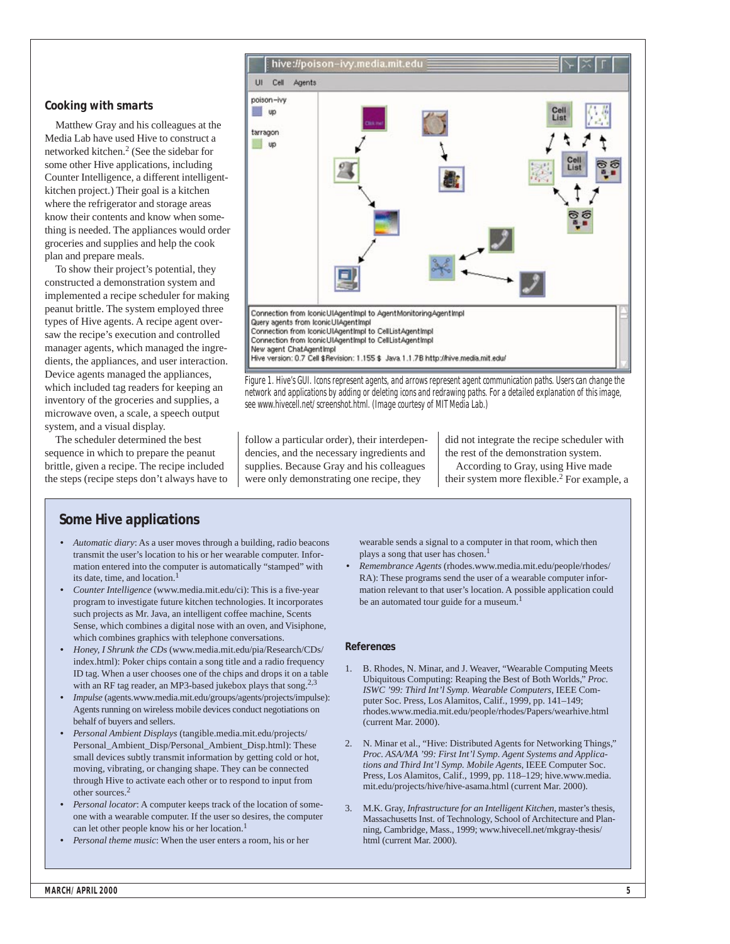### **Cooking with smarts**

Matthew Gray and his colleagues at the Media Lab have used Hive to construct a networked kitchen.2 (See the sidebar for some other Hive applications, including Counter Intelligence, a different intelligentkitchen project.) Their goal is a kitchen where the refrigerator and storage areas know their contents and know when something is needed. The appliances would order groceries and supplies and help the cook plan and prepare meals.

To show their project's potential, they constructed a demonstration system and implemented a recipe scheduler for making peanut brittle. The system employed three types of Hive agents. A recipe agent oversaw the recipe's execution and controlled manager agents, which managed the ingredients, the appliances, and user interaction. Device agents managed the appliances, which included tag readers for keeping an inventory of the groceries and supplies, a microwave oven, a scale, a speech output system, and a visual display.

The scheduler determined the best sequence in which to prepare the peanut brittle, given a recipe. The recipe included the steps (recipe steps don't always have to



Figure 1. Hive's GUI. Icons represent agents, and arrows represent agent communication paths. Users can change the network and applications by adding or deleting icons and redrawing paths. For a detailed explanation of this image, see www.hivecell.net/screenshot.html. (Image courtesy of MIT Media Lab.)

follow a particular order), their interdependencies, and the necessary ingredients and supplies. Because Gray and his colleagues were only demonstrating one recipe, they

did not integrate the recipe scheduler with the rest of the demonstration system. According to Gray, using Hive made their system more flexible. <sup>2</sup> For example, a

# **Some Hive applications**

- *Automatic diary*: As a user moves through a building, radio beacons transmit the user's location to his or her wearable computer. Information entered into the computer is automatically "stamped" with its date, time, and location.<sup>1</sup>
- *Counter Intelligence* (www.media.mit.edu/ci): This is a five-year program to investigate future kitchen technologies. It incorporates such projects as Mr. Java, an intelligent coffee machine, Scents Sense, which combines a digital nose with an oven, and Visiphone, which combines graphics with telephone conversations.
- *Honey, I Shrunk the CDs* (www.media.mit.edu/pia/Research/CDs/ index.html): Poker chips contain a song title and a radio frequency ID tag. When a user chooses one of the chips and drops it on a table with an RF tag reader, an MP3-based jukebox plays that song.<sup>2,3</sup>
- *Impulse* (agents.www.media.mit.edu/groups/agents/projects/impulse): Agents running on wireless mobile devices conduct negotiations on behalf of buyers and sellers.
- *Personal Ambient Displays* (tangible.media.mit.edu/projects/ Personal\_Ambient\_Disp/Personal\_Ambient\_Disp.html): These small devices subtly transmit information by getting cold or hot, moving, vibrating, or changing shape. They can be connected through Hive to activate each other or to respond to input from other sources.2
- *Personal locator*: A computer keeps track of the location of someone with a wearable computer. If the user so desires, the computer can let other people know his or her location.<sup>1</sup>
- *Personal theme music*: When the user enters a room, his or her

wearable sends a signal to a computer in that room, which then plays a song that user has chosen.<sup>1</sup>

• *Remembrance Agents* (rhodes.www.media.mit.edu/people/rhodes/ RA): These programs send the user of a wearable computer information relevant to that user's location. A possible application could be an automated tour guide for a museum.<sup>1</sup>

#### **References**

- 1. B. Rhodes, N. Minar, and J. Weaver, "Wearable Computing Meets Ubiquitous Computing: Reaping the Best of Both Worlds," *Proc. ISWC '99: Third Int'l Symp. Wearable Computers*, IEEE Computer Soc. Press, Los Alamitos, Calif., 1999, pp. 141–149; rhodes.www.media.mit.edu/people/rhodes/Papers/wearhive.html (current Mar. 2000).
- 2. N. Minar et al., "Hive: Distributed Agents for Networking Things," *Proc. ASA/MA '99: First Int'l Symp. Agent Systems and Applications and Third Int'l Symp. Mobile Agents*, IEEE Computer Soc. Press, Los Alamitos, Calif., 1999, pp. 118–129; hive.www.media. mit.edu/projects/hive/hive-asama.html (current Mar. 2000).
- 3. M.K. Gray, *Infrastructure for an Intelligent Kitchen*, master's thesis, Massachusetts Inst. of Technology, School of Architecture and Planning, Cambridge, Mass., 1999; www.hivecell.net/mkgray-thesis/ html (current Mar. 2000).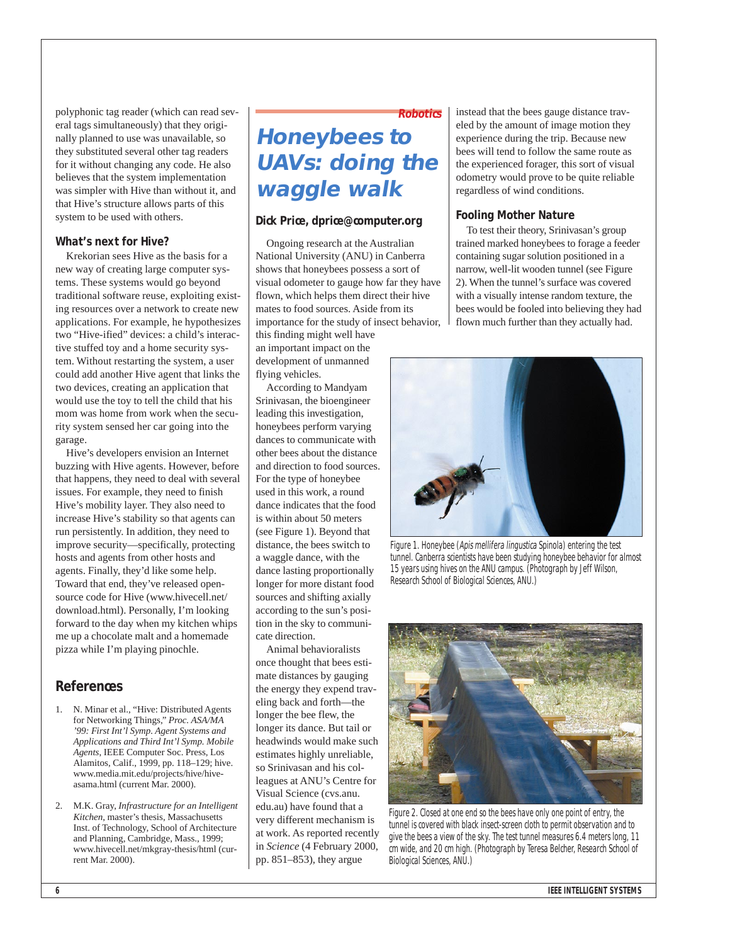polyphonic tag reader (which can read several tags simultaneously) that they originally planned to use was unavailable, so they substituted several other tag readers for it without changing any code. He also believes that the system implementation was simpler with Hive than without it, and that Hive's structure allows parts of this system to be used with others.

### **What's next for Hive?**

Krekorian sees Hive as the basis for a new way of creating large computer systems. These systems would go beyond traditional software reuse, exploiting existing resources over a network to create new applications. For example, he hypothesizes two "Hive-ified" devices: a child's interactive stuffed toy and a home security system. Without restarting the system, a user could add another Hive agent that links the two devices, creating an application that would use the toy to tell the child that his mom was home from work when the security system sensed her car going into the garage.

Hive's developers envision an Internet buzzing with Hive agents. However, before that happens, they need to deal with several issues. For example, they need to finish Hive's mobility layer. They also need to increase Hive's stability so that agents can run persistently. In addition, they need to improve security—specifically, protecting hosts and agents from other hosts and agents. Finally, they'd like some help. Toward that end, they've released opensource code for Hive (www.hivecell.net/ download.html). Personally, I'm looking forward to the day when my kitchen whips me up a chocolate malt and a homemade pizza while I'm playing pinochle.

# **References**

- 1. N. Minar et al., "Hive: Distributed Agents for Networking Things," *Proc. ASA/MA '99: First Int'l Symp. Agent Systems and Applications and Third Int'l Symp. Mobile Agents*, IEEE Computer Soc. Press, Los Alamitos, Calif., 1999, pp. 118–129; hive. www.media.mit.edu/projects/hive/hiveasama.html (current Mar. 2000).
- 2. M.K. Gray, *Infrastructure for an Intelligent Kitchen*, master's thesis, Massachusetts Inst. of Technology, School of Architecture and Planning, Cambridge, Mass., 1999; www.hivecell.net/mkgray-thesis/html (current Mar. 2000).

# **Robotics Honeybees to UAVs: doing the waggle walk**

## **Dick Price, dprice@computer.org**

Ongoing research at the Australian National University (ANU) in Canberra shows that honeybees possess a sort of visual odometer to gauge how far they have flown, which helps them direct their hive mates to food sources. Aside from its importance for the study of insect behavior,

this finding might well have an important impact on the development of unmanned flying vehicles.

According to Mandyam Srinivasan, the bioengineer leading this investigation, honeybees perform varying dances to communicate with other bees about the distance and direction to food sources. For the type of honeybee used in this work, a round dance indicates that the food is within about 50 meters (see Figure 1). Beyond that distance, the bees switch to a waggle dance, with the dance lasting proportionally longer for more distant food sources and shifting axially according to the sun's position in the sky to communicate direction.

Animal behavioralists once thought that bees estimate distances by gauging the energy they expend traveling back and forth—the longer the bee flew, the longer its dance. But tail or headwinds would make such estimates highly unreliable, so Srinivasan and his colleagues at ANU's Centre for Visual Science (cvs.anu. edu.au) have found that a very different mechanism is at work. As reported recently in *Science* (4 February 2000, pp. 851–853), they argue

instead that the bees gauge distance traveled by the amount of image motion they experience during the trip. Because new bees will tend to follow the same route as the experienced forager, this sort of visual odometry would prove to be quite reliable regardless of wind conditions.

### **Fooling Mother Nature**

To test their theory, Srinivasan's group trained marked honeybees to forage a feeder containing sugar solution positioned in a narrow, well-lit wooden tunnel (see Figure 2). When the tunnel's surface was covered with a visually intense random texture, the bees would be fooled into believing they had flown much further than they actually had.



Figure 1. Honeybee (Apis mellifera lingustica Spinola) entering the test tunnel. Canberra scientists have been studying honeybee behavior for almost 15 years using hives on the ANU campus. (Photograph by Jeff Wilson, Research School of Biological Sciences, ANU.)



Figure 2. Closed at one end so the bees have only one point of entry, the tunnel is covered with black insect-screen cloth to permit observation and to give the bees a view of the sky. The test tunnel measures 6.4 meters long, 11 cm wide, and 20 cm high. (Photograph by Teresa Belcher, Research School of Biological Sciences, ANU.)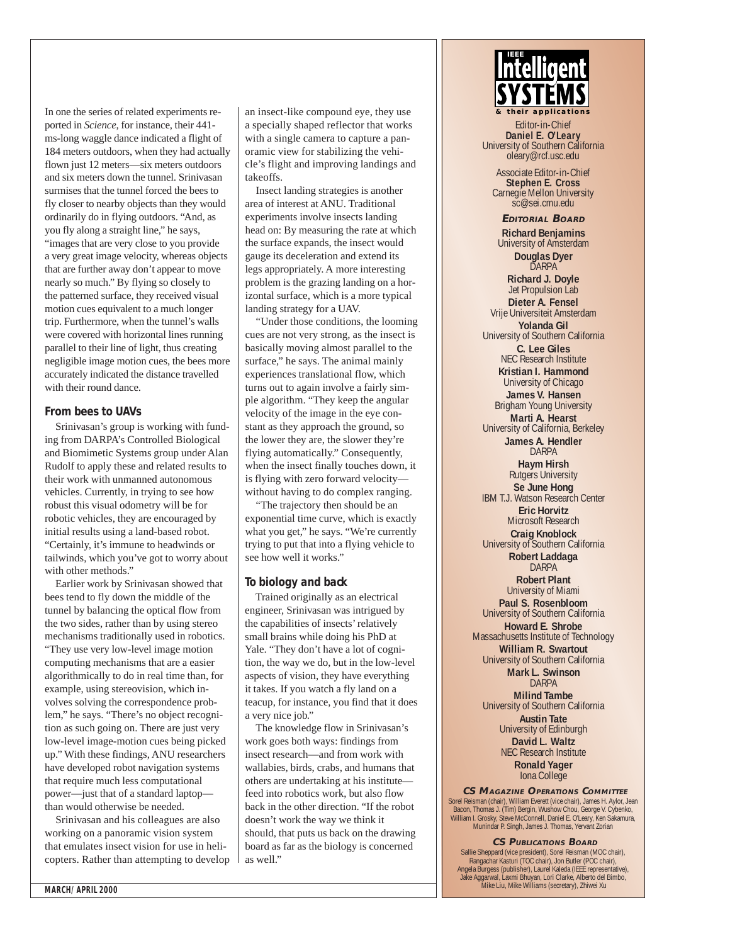In one the series of related experiments reported in *Science*, for instance, their 441 ms-long waggle dance indicated a flight of 184 meters outdoors, when they had actually flown just 12 meters—six meters outdoors and six meters down the tunnel. Srinivasan surmises that the tunnel forced the bees to fly closer to nearby objects than they would ordinarily do in flying outdoors. "And, as you fly along a straight line," he says, "images that are very close to you provide a very great image velocity, whereas objects that are further away don't appear to move nearly so much." By flying so closely to the patterned surface, they received visual motion cues equivalent to a much longer trip. Furthermore, when the tunnel's walls were covered with horizontal lines running parallel to their line of light, thus creating negligible image motion cues, the bees more accurately indicated the distance travelled with their round dance.

### **From bees to UAVs**

Srinivasan's group is working with funding from DARPA's Controlled Biological and Biomimetic Systems group under Alan Rudolf to apply these and related results to their work with unmanned autonomous vehicles. Currently, in trying to see how robust this visual odometry will be for robotic vehicles, they are encouraged by initial results using a land-based robot. "Certainly, it's immune to headwinds or tailwinds, which you've got to worry about with other methods."

Earlier work by Srinivasan showed that bees tend to fly down the middle of the tunnel by balancing the optical flow from the two sides, rather than by using stereo mechanisms traditionally used in robotics.

"They use very low-level image motion computing mechanisms that are a easier algorithmically to do in real time than, for example, using stereovision, which involves solving the correspondence problem," he says. "There's no object recognition as such going on. There are just very low-level image-motion cues being picked up." With these findings, ANU researchers have developed robot navigation systems that require much less computational power—just that of a standard laptop than would otherwise be needed.

Srinivasan and his colleagues are also working on a panoramic vision system that emulates insect vision for use in helicopters. Rather than attempting to develop

an insect-like compound eye, they use a specially shaped reflector that works with a single camera to capture a panoramic view for stabilizing the vehicle's flight and improving landings and takeoffs.

Insect landing strategies is another area of interest at ANU. Traditional experiments involve insects landing head on: By measuring the rate at which the surface expands, the insect would gauge its deceleration and extend its legs appropriately. A more interesting problem is the grazing landing on a horizontal surface, which is a more typical landing strategy for a UAV.

"Under those conditions, the looming cues are not very strong, as the insect is basically moving almost parallel to the surface," he says. The animal mainly experiences translational flow, which turns out to again involve a fairly simple algorithm. "They keep the angular velocity of the image in the eye constant as they approach the ground, so the lower they are, the slower they're flying automatically." Consequently, when the insect finally touches down, it is flying with zero forward velocity without having to do complex ranging.

"The trajectory then should be an exponential time curve, which is exactly what you get," he says. "We're currently trying to put that into a flying vehicle to see how well it works."

### **To biology and back**

Trained originally as an electrical engineer, Srinivasan was intrigued by the capabilities of insects'relatively small brains while doing his PhD at Yale. "They don't have a lot of cognition, the way we do, but in the low-level aspects of vision, they have everything it takes. If you watch a fly land on a teacup, for instance, you find that it does a very nice job."

The knowledge flow in Srinivasan's work goes both ways: findings from insect research—and from work with wallabies, birds, crabs, and humans that others are undertaking at his institute feed into robotics work, but also flow back in the other direction. "If the robot doesn't work the way we think it should, that puts us back on the drawing board as far as the biology is concerned as well."

# *& their applications Infelligent*

Editor-in-Chief<br>Daniel E. O'Leary **Daniel E. O'Leary** University of Southern California oleary@rcf.usc.edu

Associate Editor-in-Chief **Stephen E. Cross** Carnegie Mellon University sc@sei.cmu.edu

**EDITORIAL BOARD Richard Benjamins** University of Amsterdam **Douglas Dyer** DARPA

**Richard J. Doyle** Jet Propulsion Lab

**Dieter A. Fensel** Vrije Universiteit Amsterdam **Yolanda Gil** University of Southern California **C. Lee Giles**

NEC Research Institute **Kristian I. Hammond**

University of Chicago **James V. Hansen** Brigham Young University **Marti A. Hearst** University of California, Berkeley

**James A. Hendler** DARPA

> **Haym Hirsh** Rutgers University

**Se June Hong** IBM T.J. Watson Research Center **Eric Horvitz** Microsoft Research **Craig Knoblock** University of Southern California

**Robert Laddaga** DARPA **Robert Plant**

University of Miami **Paul S. Rosenbloom** University of Southern California

**Howard E. Shrobe** Massachusetts Institute of Technology

**William R. Swartout** University of Southern California **Mark L. Swinson**

DARPA **Milind Tambe**

University of Southern California **Austin Tate** University of Edinburgh

> **David L. Waltz** NEC Research Institute **Ronald Yager**

> > Iona College

**CS MAGAZINE OPERATIONS COMMITTEE** Sorel Reisman (chair), William Everett (vice chair), James H. Aylor, Jean Bacon, Thomas J. (Tim) Bergin, Wushow Chou, George V. Cybenko, William I. Grosky, Steve McConnell, Daniel E. O'Leary, Ken Sakamura, Munindar P. Singh, James J. Thomas, Yervant Zorian

#### **CS PUBLICATIONS BOARD**

Sallie Sheppard (vice president), Sorel Reisman (MOC chair), Rangachar Kasturi (TOC chair), Jon Butler (POC chair), Angela Burgess (publisher), Laurel Kaleda (IEEE representative), Jake Aggarwal, Laxmi Bhuyan, Lori Clarke, Alberto del Bimbo, Mike Liu, Mike Williams (secretary), Zhiwei Xu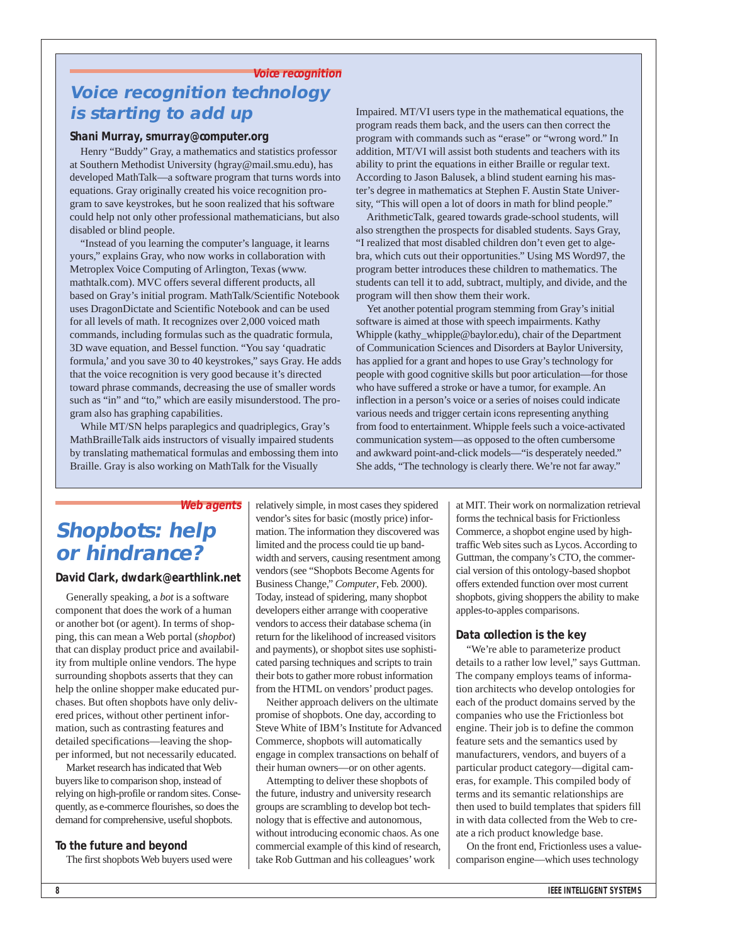# **Voice recognition Voice recognition technology is starting to add up**

## **Shani Murray, smurray@computer.org**

Henry "Buddy" Gray, a mathematics and statistics professor at Southern Methodist University (hgray@mail.smu.edu), has developed MathTalk—a software program that turns words into equations. Gray originally created his voice recognition program to save keystrokes, but he soon realized that his software could help not only other professional mathematicians, but also disabled or blind people.

"Instead of you learning the computer's language, it learns yours," explains Gray, who now works in collaboration with Metroplex Voice Computing of Arlington, Texas (www. mathtalk.com). MVC offers several different products, all based on Gray's initial program. MathTalk/Scientific Notebook uses DragonDictate and Scientific Notebook and can be used for all levels of math. It recognizes over 2,000 voiced math commands, including formulas such as the quadratic formula, 3D wave equation, and Bessel function. "You say 'quadratic formula,' and you save 30 to 40 keystrokes," says Gray. He adds that the voice recognition is very good because it's directed toward phrase commands, decreasing the use of smaller words such as "in" and "to," which are easily misunderstood. The program also has graphing capabilities.

While MT/SN helps paraplegics and quadriplegics, Gray's MathBrailleTalk aids instructors of visually impaired students by translating mathematical formulas and embossing them into Braille. Gray is also working on MathTalk for the Visually

Impaired. MT/VI users type in the mathematical equations, the program reads them back, and the users can then correct the program with commands such as "erase" or "wrong word." In addition, MT/VI will assist both students and teachers with its ability to print the equations in either Braille or regular text. According to Jason Balusek, a blind student earning his master's degree in mathematics at Stephen F. Austin State University, "This will open a lot of doors in math for blind people."

ArithmeticTalk, geared towards grade-school students, will also strengthen the prospects for disabled students. Says Gray, "I realized that most disabled children don't even get to algebra, which cuts out their opportunities." Using MS Word97, the program better introduces these children to mathematics. The students can tell it to add, subtract, multiply, and divide, and the program will then show them their work.

Yet another potential program stemming from Gray's initial software is aimed at those with speech impairments. Kathy Whipple (kathy\_whipple@baylor.edu), chair of the Department of Communication Sciences and Disorders at Baylor University, has applied for a grant and hopes to use Gray's technology for people with good cognitive skills but poor articulation—for those who have suffered a stroke or have a tumor, for example. An inflection in a person's voice or a series of noises could indicate various needs and trigger certain icons representing anything from food to entertainment. Whipple feels such a voice-activated communication system—as opposed to the often cumbersome and awkward point-and-click models—"is desperately needed." She adds, "The technology is clearly there. We're not far away."

### **Web agents**

# **Shopbots: help or hindrance?**

## **David Clark, dwclark@earthlink.net**

Generally speaking, a *bot* is a software component that does the work of a human or another bot (or agent). In terms of shopping, this can mean a Web portal (*shopbot*) that can display product price and availability from multiple online vendors. The hype surrounding shopbots asserts that they can help the online shopper make educated purchases. But often shopbots have only delivered prices, without other pertinent information, such as contrasting features and detailed specifications—leaving the shopper informed, but not necessarily educated.

Market research has indicated that Web buyers like to comparison shop, instead of relying on high-profile or random sites. Consequently, as e-commerce flourishes, so does the demand for comprehensive, useful shopbots.

### **To the future and beyond**

The first shopbots Web buyers used were

relatively simple, in most cases they spidered vendor's sites for basic (mostly price) information. The information they discovered was limited and the process could tie up bandwidth and servers, causing resentment among vendors (see "Shopbots Become Agents for Business Change," *Computer*, Feb. 2000). Today, instead of spidering, many shopbot developers either arrange with cooperative vendors to access their database schema (in return for the likelihood of increased visitors and payments), or shopbot sites use sophisticated parsing techniques and scripts to train their bots to gather more robust information from the HTML on vendors'product pages.

Neither approach delivers on the ultimate promise of shopbots. One day, according to Steve White of IBM's Institute for Advanced Commerce, shopbots will automatically engage in complex transactions on behalf of their human owners—or on other agents.

Attempting to deliver these shopbots of the future, industry and university research groups are scrambling to develop bot technology that is effective and autonomous, without introducing economic chaos. As one commercial example of this kind of research, take Rob Guttman and his colleagues'work

at MIT. Their work on normalization retrieval forms the technical basis for Frictionless Commerce, a shopbot engine used by hightraffic Web sites such as Lycos. According to Guttman, the company's CTO, the commercial version of this ontology-based shopbot offers extended function over most current shopbots, giving shoppers the ability to make apples-to-apples comparisons.

### **Data collection is the key**

"We're able to parameterize product details to a rather low level," says Guttman. The company employs teams of information architects who develop ontologies for each of the product domains served by the companies who use the Frictionless bot engine. Their job is to define the common feature sets and the semantics used by manufacturers, vendors, and buyers of a particular product category—digital cameras, for example. This compiled body of terms and its semantic relationships are then used to build templates that spiders fill in with data collected from the Web to create a rich product knowledge base.

On the front end, Frictionless uses a valuecomparison engine—which uses technology